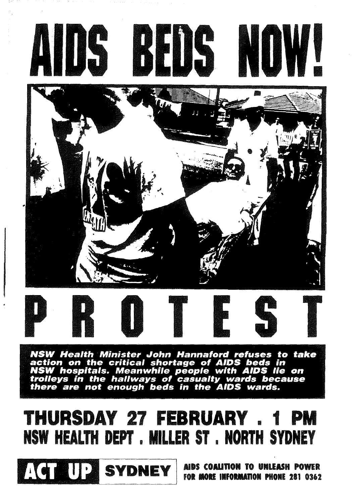





NSW Health Minister John Hannaford refuses to take<br>action on the critical shortage of AIDS beds in<br>NSW hospitals. Meanwhile people with AIDS lie on<br>trolleys in the hallways of casualty wards because<br>there are not enough be

## **THURSDAY 27 FEBRUARY . 1 PM** NSW HEALTH DEPT . MILLER ST . NORTH SYDNEY



AIDS COALITION TO UNLEASH POWER FOR MORE INFORMATION PHONE 281 0362